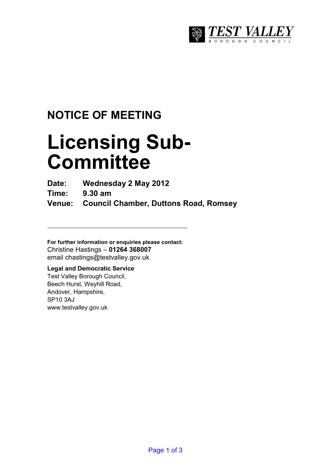

## **NOTICE OF MEETING**

# **Licensing Sub-Committee**

**Date: Wednesday 2 May 2012** 

**Time: 9.30 am** 

**Venue: Council Chamber, Duttons Road, Romsey** 

**For further information or enquiries please contact:**  Christine Hastings – **01264 368007** email chastings@testvalley.gov.uk

#### **Legal and Democratic Service**

Test Valley Borough Council, Beech Hurst, Weyhill Road, Andover, Hampshire, SP10 3AJ www.testvalley.gov.uk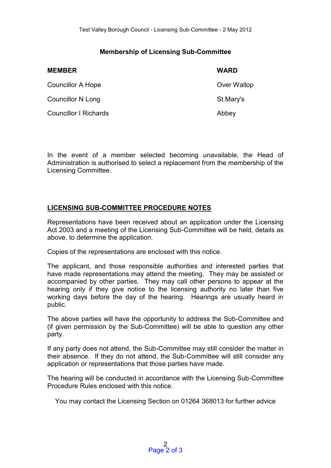#### **Membership of Licensing Sub-Committee**

| <b>MEMBER</b>                | <b>WARD</b> |
|------------------------------|-------------|
| Councillor A Hope            | Over Wallop |
| <b>Councillor N Long</b>     | St.Mary's   |
| <b>Councillor I Richards</b> | Abbey       |

In the event of a member selected becoming unavailable, the Head of Administration is authorised to select a replacement from the membership of the Licensing Committee.

#### **LICENSING SUB-COMMITTEE PROCEDURE NOTES**

Representations have been received about an application under the Licensing Act 2003 and a meeting of the Licensing Sub-Committee will be held, details as above, to determine the application.

Copies of the representations are enclosed with this notice.

The applicant, and those responsible authorities and interested parties that have made representations may attend the meeting. They may be assisted or accompanied by other parties. They may call other persons to appear at the hearing only if they give notice to the licensing authority no later than five working days before the day of the hearing. Hearings are usually heard in public.

The above parties will have the opportunity to address the Sub-Committee and (if given permission by the Sub-Committee) will be able to question any other party.

If any party does not attend, the Sub-Committee may still consider the matter in their absence. If they do not attend, the Sub-Committee will still consider any application or representations that those parties have made.

The hearing will be conducted in accordance with the Licensing Sub-Committee Procedure Rules enclosed with this notice.

You may contact the Licensing Section on 01264 368013 for further advice